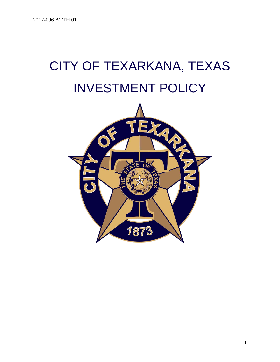# CITY OF TEXARKANA, TEXAS INVESTMENT POLICY



1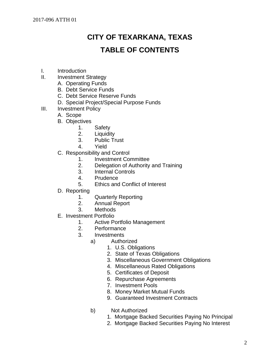# **CITY OF TEXARKANA, TEXAS TABLE OF CONTENTS**

- I. Introduction
- II. Investment Strategy
	- A. Operating Funds
	- B. Debt Service Funds
	- C. Debt Service Reserve Funds
	- D. Special Project/Special Purpose Funds
- III. Investment Policy
	- A. Scope
	- B. Objectives
		- 1. Safety
		- 2. Liquidity
		- 3. Public Trust
		- 4. Yield
	- C. Responsibility and Control
		- 1. Investment Committee
		- 2. Delegation of Authority and Training
		- 3. Internal Controls
		- 4. Prudence
		- 5. Ethics and Conflict of Interest
	- D. Reporting
		- 1. Quarterly Reporting
		- 2. Annual Report
		- 3. Methods
	- E. Investment Portfolio
		- 1. Active Portfolio Management
		- 2. Performance
		- 3. Investments
			- a) Authorized
				- 1. U.S. Obligations
				- 2. State of Texas Obligations
				- 3. Miscellaneous Government Obligations
				- 4. Miscellaneous Rated Obligations
				- 5. Certificates of Deposit
				- 6. Repurchase Agreements
				- 7. Investment Pools
				- 8. Money Market Mutual Funds
				- 9. Guaranteed Investment Contracts
			- b) Not Authorized
				- 1. Mortgage Backed Securities Paying No Principal
				- 2. Mortgage Backed Securities Paying No Interest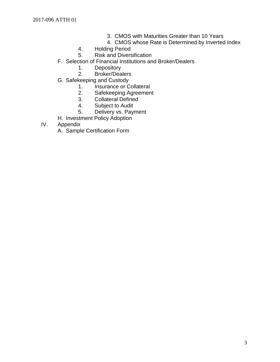- 3. CMOS with Maturities Greater than 10 Years
- 4. CMOS whose Rate is Determined by Inverted Index
- 4. Holding Period
- 5. Risk and Diversification
- F. Selection of Financial Institutions and Broker/Dealers
	- 1. Depository<br>2. Broker/Dea
	- Broker/Dealers
- G. Safekeeping and Custody
	- 1. Insurance or Collateral
	- 2. Safekeeping Agreement
	- 3. Collateral Defined
	- 4. Subject to Audit
	- 5. Delivery vs. Payment
- H. Investment Policy Adoption
- IV. Appendix
	- A. Sample Certification Form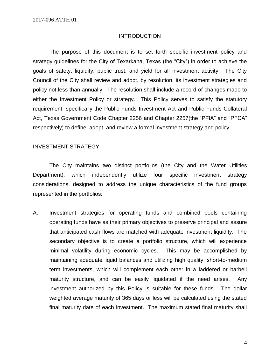#### **INTRODUCTION**

The purpose of this document is to set forth specific investment policy and strategy guidelines for the City of Texarkana, Texas (the "City") in order to achieve the goals of safety, liquidity, public trust, and yield for all investment activity. The City Council of the City shall review and adopt, by resolution, its investment strategies and policy not less than annually. The resolution shall include a record of changes made to either the Investment Policy or strategy. This Policy serves to satisfy the statutory requirement, specifically the Public Funds Investment Act and Public Funds Collateral Act, Texas Government Code Chapter 2256 and Chapter 2257(the "PFIA" and "PFCA" respectively) to define, adopt, and review a formal investment strategy and policy.

#### INVESTMENT STRATEGY

The City maintains two distinct portfolios (the City and the Water Utilities Department), which independently utilize four specific investment strategy considerations, designed to address the unique characteristics of the fund groups represented in the portfolios:

A. Investment strategies for operating funds and combined pools containing operating funds have as their primary objectives to preserve principal and assure that anticipated cash flows are matched with adequate investment liquidity. The secondary objective is to create a portfolio structure, which will experience minimal volatility during economic cycles. This may be accomplished by maintaining adequate liquid balances and utilizing high quality, short-to-medium term investments, which will complement each other in a laddered or barbell maturity structure, and can be easily liquidated if the need arises. Any investment authorized by this Policy is suitable for these funds. The dollar weighted average maturity of 365 days or less will be calculated using the stated final maturity date of each investment. The maximum stated final maturity shall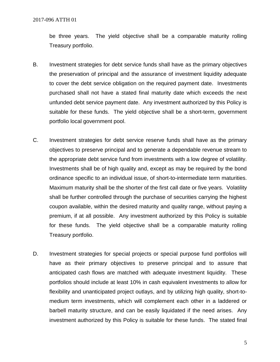be three years. The yield objective shall be a comparable maturity rolling Treasury portfolio.

- B. Investment strategies for debt service funds shall have as the primary objectives the preservation of principal and the assurance of investment liquidity adequate to cover the debt service obligation on the required payment date. Investments purchased shall not have a stated final maturity date which exceeds the next unfunded debt service payment date. Any investment authorized by this Policy is suitable for these funds. The yield objective shall be a short-term, government portfolio local government pool.
- C. Investment strategies for debt service reserve funds shall have as the primary objectives to preserve principal and to generate a dependable revenue stream to the appropriate debt service fund from investments with a low degree of volatility. Investments shall be of high quality and, except as may be required by the bond ordinance specific to an individual issue, of short-to-intermediate term maturities. Maximum maturity shall be the shorter of the first call date or five years. Volatility shall be further controlled through the purchase of securities carrying the highest coupon available, within the desired maturity and quality range, without paying a premium, if at all possible. Any investment authorized by this Policy is suitable for these funds. The yield objective shall be a comparable maturity rolling Treasury portfolio.
- D. Investment strategies for special projects or special purpose fund portfolios will have as their primary objectives to preserve principal and to assure that anticipated cash flows are matched with adequate investment liquidity. These portfolios should include at least 10% in cash equivalent investments to allow for flexibility and unanticipated project outlays, and by utilizing high quality, short-tomedium term investments, which will complement each other in a laddered or barbell maturity structure, and can be easily liquidated if the need arises. Any investment authorized by this Policy is suitable for these funds. The stated final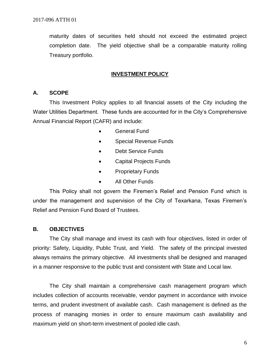maturity dates of securities held should not exceed the estimated project completion date. The yield objective shall be a comparable maturity rolling Treasury portfolio.

#### **INVESTMENT POLICY**

#### **A. SCOPE**

This Investment Policy applies to all financial assets of the City including the Water Utilities Department. These funds are accounted for in the City's Comprehensive Annual Financial Report (CAFR) and include:

- General Fund
- Special Revenue Funds
- Debt Service Funds
- Capital Projects Funds
- **Proprietary Funds**
- All Other Funds

This Policy shall not govern the Firemen's Relief and Pension Fund which is under the management and supervision of the City of Texarkana, Texas Firemen's Relief and Pension Fund Board of Trustees.

#### **B. OBJECTIVES**

The City shall manage and invest its cash with four objectives, listed in order of priority: Safety, Liquidity, Public Trust, and Yield. The safety of the principal invested always remains the primary objective. All investments shall be designed and managed in a manner responsive to the public trust and consistent with State and Local law.

The City shall maintain a comprehensive cash management program which includes collection of accounts receivable, vendor payment in accordance with invoice terms, and prudent investment of available cash. Cash management is defined as the process of managing monies in order to ensure maximum cash availability and maximum yield on short-term investment of pooled idle cash.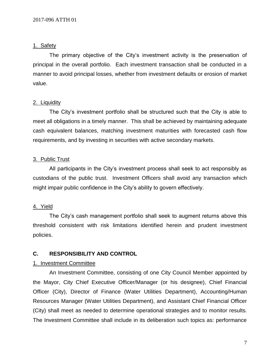#### 1. Safety

The primary objective of the City's investment activity is the preservation of principal in the overall portfolio. Each investment transaction shall be conducted in a manner to avoid principal losses, whether from investment defaults or erosion of market value.

#### 2. Liquidity

The City's investment portfolio shall be structured such that the City is able to meet all obligations in a timely manner. This shall be achieved by maintaining adequate cash equivalent balances, matching investment maturities with forecasted cash flow requirements, and by investing in securities with active secondary markets.

#### 3. Public Trust

All participants in the City's investment process shall seek to act responsibly as custodians of the public trust. Investment Officers shall avoid any transaction which might impair public confidence in the City's ability to govern effectively.

#### 4. Yield

The City's cash management portfolio shall seek to augment returns above this threshold consistent with risk limitations identified herein and prudent investment policies.

#### **C. RESPONSIBILITY AND CONTROL**

#### 1. Investment Committee

An Investment Committee, consisting of one City Council Member appointed by the Mayor, City Chief Executive Officer/Manager (or his designee), Chief Financial Officer (City), Director of Finance (Water Utilities Department), Accounting/Human Resources Manager (Water Utilities Department), and Assistant Chief Financial Officer (City) shall meet as needed to determine operational strategies and to monitor results. The Investment Committee shall include in its deliberation such topics as: performance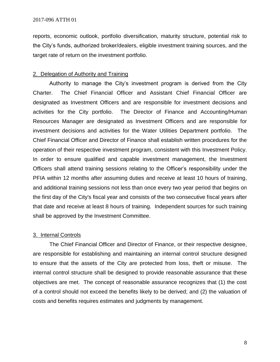reports, economic outlook, portfolio diversification, maturity structure, potential risk to the City's funds, authorized broker/dealers, eligible investment training sources, and the target rate of return on the investment portfolio.

#### 2. Delegation of Authority and Training

Authority to manage the City's investment program is derived from the City Charter. The Chief Financial Officer and Assistant Chief Financial Officer are designated as Investment Officers and are responsible for investment decisions and activities for the City portfolio. The Director of Finance and Accounting/Human Resources Manager are designated as Investment Officers and are responsible for investment decisions and activities for the Water Utilities Department portfolio. The Chief Financial Officer and Director of Finance shall establish written procedures for the operation of their respective investment program, consistent with this Investment Policy. In order to ensure qualified and capable investment management, the Investment Officers shall attend training sessions relating to the Officer's responsibility under the PFIA within 12 months after assuming duties and receive at least 10 hours of training, and additional training sessions not less than once every two year period that begins on the first day of the City's fiscal year and consists of the two consecutive fiscal years after that date and receive at least 8 hours of training. Independent sources for such training shall be approved by the Investment Committee.

#### 3. Internal Controls

The Chief Financial Officer and Director of Finance, or their respective designee, are responsible for establishing and maintaining an internal control structure designed to ensure that the assets of the City are protected from loss, theft or misuse. The internal control structure shall be designed to provide reasonable assurance that these objectives are met. The concept of reasonable assurance recognizes that (1) the cost of a control should not exceed the benefits likely to be derived; and (2) the valuation of costs and benefits requires estimates and judgments by management.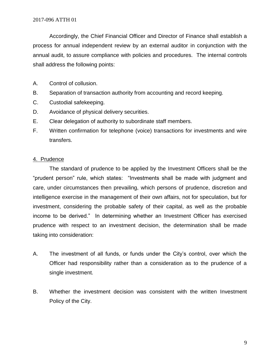Accordingly, the Chief Financial Officer and Director of Finance shall establish a process for annual independent review by an external auditor in conjunction with the annual audit, to assure compliance with policies and procedures. The internal controls shall address the following points:

- A. Control of collusion.
- B. Separation of transaction authority from accounting and record keeping.
- C. Custodial safekeeping.
- D. Avoidance of physical delivery securities.
- E. Clear delegation of authority to subordinate staff members.
- F. Written confirmation for telephone (voice) transactions for investments and wire transfers.

#### 4. Prudence

The standard of prudence to be applied by the Investment Officers shall be the "prudent person" rule, which states: "Investments shall be made with judgment and care, under circumstances then prevailing, which persons of prudence, discretion and intelligence exercise in the management of their own affairs, not for speculation, but for investment, considering the probable safety of their capital, as well as the probable income to be derived." In determining whether an Investment Officer has exercised prudence with respect to an investment decision, the determination shall be made taking into consideration:

- A. The investment of all funds, or funds under the City's control, over which the Officer had responsibility rather than a consideration as to the prudence of a single investment.
- B. Whether the investment decision was consistent with the written Investment Policy of the City.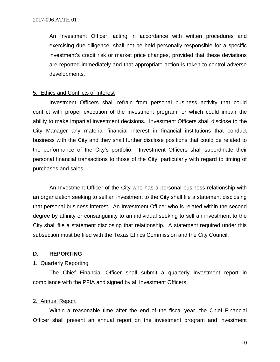An Investment Officer, acting in accordance with written procedures and exercising due diligence, shall not be held personally responsible for a specific investment's credit risk or market price changes, provided that these deviations are reported immediately and that appropriate action is taken to control adverse developments.

#### 5. Ethics and Conflicts of Interest

Investment Officers shall refrain from personal business activity that could conflict with proper execution of the investment program, or which could impair the ability to make impartial investment decisions. Investment Officers shall disclose to the City Manager any material financial interest in financial institutions that conduct business with the City and they shall further disclose positions that could be related to the performance of the City's portfolio. Investment Officers shall subordinate their personal financial transactions to those of the City, particularly with regard to timing of purchases and sales.

An Investment Officer of the City who has a personal business relationship with an organization seeking to sell an investment to the City shall file a statement disclosing that personal business interest. An Investment Officer who is related within the second degree by affinity or consanguinity to an individual seeking to sell an investment to the City shall file a statement disclosing that relationship. A statement required under this subsection must be filed with the Texas Ethics Commission and the City Council.

#### **D. REPORTING**

#### 1. Quarterly Reporting

The Chief Financial Officer shall submit a quarterly investment report in compliance with the PFIA and signed by all Investment Officers.

#### 2. Annual Report

Within a reasonable time after the end of the fiscal year, the Chief Financial Officer shall present an annual report on the investment program and investment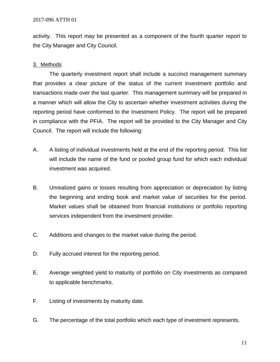activity. This report may be presented as a component of the fourth quarter report to the City Manager and City Council.

#### 3. Methods

The quarterly investment report shall include a succinct management summary that provides a clear picture of the status of the current investment portfolio and transactions made over the last quarter. This management summary will be prepared in a manner which will allow the City to ascertain whether investment activities during the reporting period have conformed to the Investment Policy. The report will be prepared in compliance with the PFIA. The report will be provided to the City Manager and City Council. The report will include the following:

- A. A listing of individual investments held at the end of the reporting period. This list will include the name of the fund or pooled group fund for which each individual investment was acquired.
- B. Unrealized gains or losses resulting from appreciation or depreciation by listing the beginning and ending book and market value of securities for the period. Market values shall be obtained from financial institutions or portfolio reporting services independent from the investment provider.
- C. Additions and changes to the market value during the period.
- D. Fully accrued interest for the reporting period.
- E. Average weighted yield to maturity of portfolio on City investments as compared to applicable benchmarks.
- F. Listing of investments by maturity date.
- G. The percentage of the total portfolio which each type of investment represents.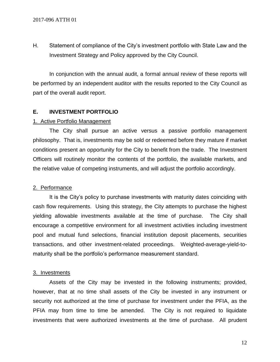H. Statement of compliance of the City's investment portfolio with State Law and the Investment Strategy and Policy approved by the City Council.

In conjunction with the annual audit, a formal annual review of these reports will be performed by an independent auditor with the results reported to the City Council as part of the overall audit report.

#### **E. INVESTMENT PORTFOLIO**

#### 1. Active Portfolio Management

The City shall pursue an active versus a passive portfolio management philosophy. That is, investments may be sold or redeemed before they mature if market conditions present an opportunity for the City to benefit from the trade. The Investment Officers will routinely monitor the contents of the portfolio, the available markets, and the relative value of competing instruments, and will adjust the portfolio accordingly.

#### 2. Performance

It is the City's policy to purchase investments with maturity dates coinciding with cash flow requirements. Using this strategy, the City attempts to purchase the highest yielding allowable investments available at the time of purchase. The City shall encourage a competitive environment for all investment activities including investment pool and mutual fund selections, financial institution deposit placements, securities transactions, and other investment-related proceedings. Weighted-average-yield-tomaturity shall be the portfolio's performance measurement standard.

#### 3. Investments

Assets of the City may be invested in the following instruments; provided, however, that at no time shall assets of the City be invested in any instrument or security not authorized at the time of purchase for investment under the PFIA, as the PFIA may from time to time be amended. The City is not required to liquidate investments that were authorized investments at the time of purchase. All prudent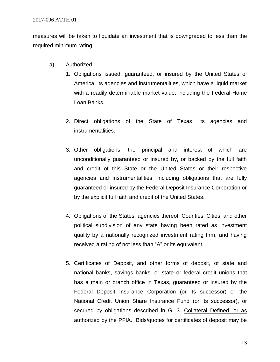measures will be taken to liquidate an investment that is downgraded to less than the required minimum rating.

- a). Authorized
	- 1. Obligations issued, guaranteed, or insured by the United States of America, its agencies and instrumentalities, which have a liquid market with a readily determinable market value, including the Federal Home Loan Banks.
	- 2. Direct obligations of the State of Texas, its agencies and instrumentalities.
	- 3. Other obligations, the principal and interest of which are unconditionally guaranteed or insured by, or backed by the full faith and credit of this State or the United States or their respective agencies and instrumentalities, including obligations that are fully guaranteed or insured by the Federal Deposit Insurance Corporation or by the explicit full faith and credit of the United States.
	- 4. Obligations of the States, agencies thereof, Counties, Cities, and other political subdivision of any state having been rated as investment quality by a nationally recognized investment rating firm, and having received a rating of not less than "A" or its equivalent.
	- 5. Certificates of Deposit, and other forms of deposit, of state and national banks, savings banks, or state or federal credit unions that has a main or branch office in Texas, guaranteed or insured by the Federal Deposit Insurance Corporation (or its successor) or the National Credit Union Share Insurance Fund (or its successor), or secured by obligations described in G. 3. Collateral Defined, or as authorized by the PFIA. Bids/quotes for certificates of deposit may be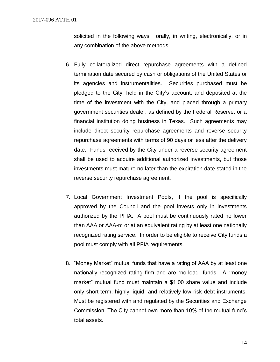solicited in the following ways: orally, in writing, electronically, or in any combination of the above methods.

- 6. Fully collateralized direct repurchase agreements with a defined termination date secured by cash or obligations of the United States or its agencies and instrumentalities. Securities purchased must be pledged to the City, held in the City's account, and deposited at the time of the investment with the City, and placed through a primary government securities dealer, as defined by the Federal Reserve, or a financial institution doing business in Texas. Such agreements may include direct security repurchase agreements and reverse security repurchase agreements with terms of 90 days or less after the delivery date. Funds received by the City under a reverse security agreement shall be used to acquire additional authorized investments, but those investments must mature no later than the expiration date stated in the reverse security repurchase agreement.
- 7. Local Government Investment Pools, if the pool is specifically approved by the Council and the pool invests only in investments authorized by the PFIA. A pool must be continuously rated no lower than AAA or AAA-m or at an equivalent rating by at least one nationally recognized rating service. In order to be eligible to receive City funds a pool must comply with all PFIA requirements.
- 8. "Money Market" mutual funds that have a rating of AAA by at least one nationally recognized rating firm and are "no-load" funds. A "money market" mutual fund must maintain a \$1.00 share value and include only short-term, highly liquid, and relatively low risk debt instruments. Must be registered with and regulated by the Securities and Exchange Commission. The City cannot own more than 10% of the mutual fund's total assets.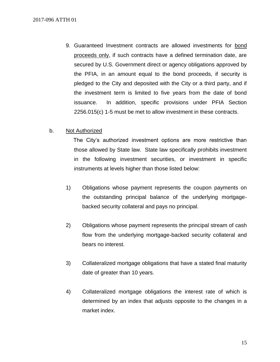9. Guaranteed Investment contracts are allowed investments for bond proceeds only, if such contracts have a defined termination date, are secured by U.S. Government direct or agency obligations approved by the PFIA, in an amount equal to the bond proceeds, if security is pledged to the City and deposited with the City or a third party, and if the investment term is limited to five years from the date of bond issuance. In addition, specific provisions under PFIA Section 2256.015(c) 1-5 must be met to allow investment in these contracts.

#### b. Not Authorized

 The City's authorized investment options are more restrictive than those allowed by State law. State law specifically prohibits investment in the following investment securities, or investment in specific instruments at levels higher than those listed below:

- 1) Obligations whose payment represents the coupon payments on the outstanding principal balance of the underlying mortgagebacked security collateral and pays no principal.
- 2) Obligations whose payment represents the principal stream of cash flow from the underlying mortgage-backed security collateral and bears no interest.
- 3) Collateralized mortgage obligations that have a stated final maturity date of greater than 10 years.
- 4) Collateralized mortgage obligations the interest rate of which is determined by an index that adjusts opposite to the changes in a market index.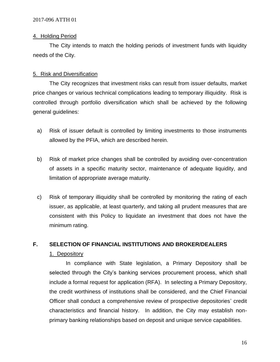#### 4. Holding Period

The City intends to match the holding periods of investment funds with liquidity needs of the City.

#### 5. Risk and Diversification

The City recognizes that investment risks can result from issuer defaults, market price changes or various technical complications leading to temporary illiquidity. Risk is controlled through portfolio diversification which shall be achieved by the following general guidelines:

- a) Risk of issuer default is controlled by limiting investments to those instruments allowed by the PFIA, which are described herein.
- b) Risk of market price changes shall be controlled by avoiding over-concentration of assets in a specific maturity sector, maintenance of adequate liquidity, and limitation of appropriate average maturity.
- c) Risk of temporary illiquidity shall be controlled by monitoring the rating of each issuer, as applicable, at least quarterly, and taking all prudent measures that are consistent with this Policy to liquidate an investment that does not have the minimum rating.

#### **F. SELECTION OF FINANCIAL INSTITUTIONS AND BROKER/DEALERS**

#### 1. Depository

In compliance with State legislation, a Primary Depository shall be selected through the City's banking services procurement process, which shall include a formal request for application (RFA). In selecting a Primary Depository, the credit worthiness of institutions shall be considered, and the Chief Financial Officer shall conduct a comprehensive review of prospective depositories' credit characteristics and financial history. In addition, the City may establish nonprimary banking relationships based on deposit and unique service capabilities.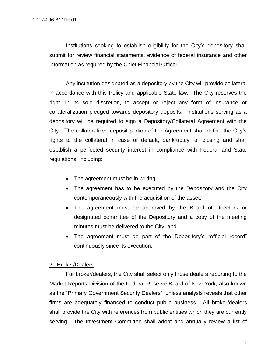Institutions seeking to establish eligibility for the City's depository shall submit for review financial statements, evidence of federal insurance and other information as required by the Chief Financial Officer.

Any institution designated as a depository by the City will provide collateral in accordance with this Policy and applicable State law. The City reserves the right, in its sole discretion, to accept or reject any form of insurance or collateralization pledged towards depository deposits. Institutions serving as a depository will be required to sign a Depository/Collateral Agreement with the City. The collateralized deposit portion of the Agreement shall define the City's rights to the collateral in case of default, bankruptcy, or closing and shall establish a perfected security interest in compliance with Federal and State regulations, including:

- The agreement must be in writing;
- The agreement has to be executed by the Depository and the City contemporaneously with the acquisition of the asset;
- The agreement must be approved by the Board of Directors or designated committee of the Depository and a copy of the meeting minutes must be delivered to the City; and
- The agreement must be part of the Depository's "official record" continuously since its execution.

#### 2. Broker/Dealers

For broker/dealers, the City shall select only those dealers reporting to the Market Reports Division of the Federal Reserve Board of New York, also known as the "Primary Government Security Dealers", unless analysis reveals that other firms are adequately financed to conduct public business. All broker/dealers shall provide the City with references from public entities which they are currently serving. The Investment Committee shall adopt and annually review a list of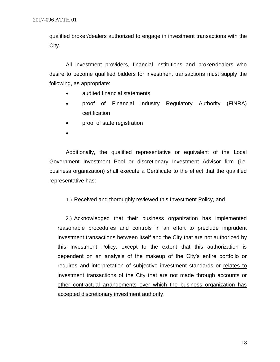qualified broker/dealers authorized to engage in investment transactions with the City.

All investment providers, financial institutions and broker/dealers who desire to become qualified bidders for investment transactions must supply the following, as appropriate:

- audited financial statements
- proof of Financial Industry Regulatory Authority (FINRA) certification
- proof of state registration
- •

Additionally, the qualified representative or equivalent of the Local Government Investment Pool or discretionary Investment Advisor firm (i.e. business organization) shall execute a Certificate to the effect that the qualified representative has:

1.) Received and thoroughly reviewed this Investment Policy, and

2.) Acknowledged that their business organization has implemented reasonable procedures and controls in an effort to preclude imprudent investment transactions between itself and the City that are not authorized by this Investment Policy, except to the extent that this authorization is dependent on an analysis of the makeup of the City's entire portfolio or requires and interpretation of subjective investment standards or relates to investment transactions of the City that are not made through accounts or other contractual arrangements over which the business organization has accepted discretionary investment authority.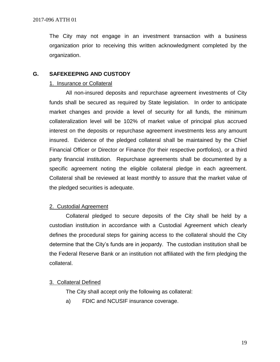The City may not engage in an investment transaction with a business organization prior to receiving this written acknowledgment completed by the organization.

#### **G. SAFEKEEPING AND CUSTODY**

#### 1. Insurance or Collateral

All non-insured deposits and repurchase agreement investments of City funds shall be secured as required by State legislation. In order to anticipate market changes and provide a level of security for all funds, the minimum collateralization level will be 102% of market value of principal plus accrued interest on the deposits or repurchase agreement investments less any amount insured. Evidence of the pledged collateral shall be maintained by the Chief Financial Officer or Director or Finance (for their respective portfolios), or a third party financial institution. Repurchase agreements shall be documented by a specific agreement noting the eligible collateral pledge in each agreement. Collateral shall be reviewed at least monthly to assure that the market value of the pledged securities is adequate.

#### 2. Custodial Agreement

Collateral pledged to secure deposits of the City shall be held by a custodian institution in accordance with a Custodial Agreement which clearly defines the procedural steps for gaining access to the collateral should the City determine that the City's funds are in jeopardy. The custodian institution shall be the Federal Reserve Bank or an institution not affiliated with the firm pledging the collateral.

#### 3. Collateral Defined

The City shall accept only the following as collateral:

a) FDIC and NCUSIF insurance coverage.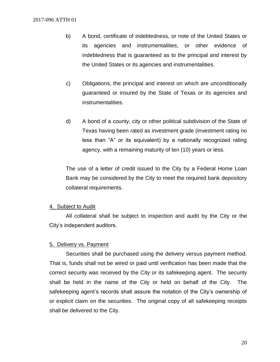- b) A bond, certificate of indebtedness, or note of the United States or its agencies and instrumentalities, or other evidence of indebtedness that is guaranteed as to the principal and interest by the United States or its agencies and instrumentalities.
- c) Obligations, the principal and interest on which are unconditionally guaranteed or insured by the State of Texas or its agencies and instrumentalities.
- d) A bond of a county, city or other political subdivision of the State of Texas having been rated as investment grade (investment rating no less than "A" or its equivalent) by a nationally recognized rating agency, with a remaining maturity of ten (10) years or less.

The use of a letter of credit issued to the City by a Federal Home Loan Bank may be considered by the City to meet the required bank depository collateral requirements.

#### 4. Subject to Audit

All collateral shall be subject to inspection and audit by the City or the City's independent auditors.

#### 5. Delivery vs. Payment

Securities shall be purchased using the delivery versus payment method. That is, funds shall not be wired or paid until verification has been made that the correct security was received by the City or its safekeeping agent. The security shall be held in the name of the City or held on behalf of the City. The safekeeping agent's records shall assure the notation of the City's ownership of or explicit claim on the securities. The original copy of all safekeeping receipts shall be delivered to the City.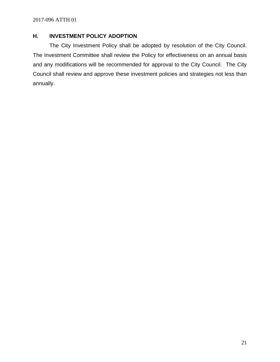### **H. INVESTMENT POLICY ADOPTION**

The City Investment Policy shall be adopted by resolution of the City Council. The Investment Committee shall review the Policy for effectiveness on an annual basis and any modifications will be recommended for approval to the City Council. The City Council shall review and approve these investment policies and strategies not less than annually.